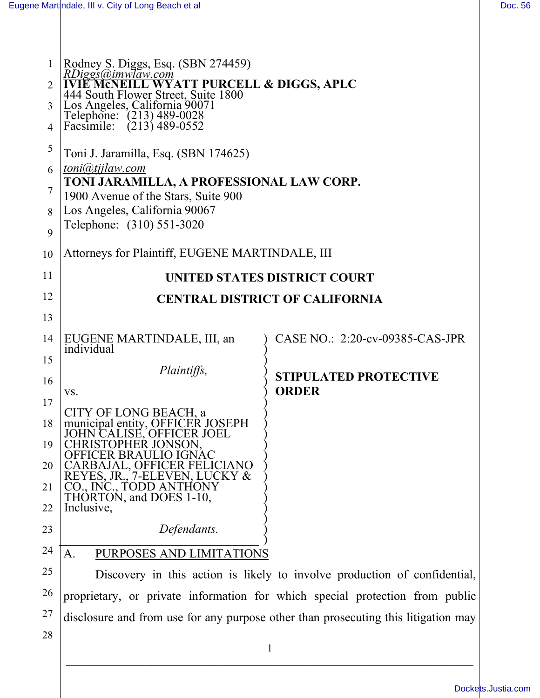|                | Rodney S. Diggs, Esq. (SBN 274459)<br><i>RDiggs@imwlaw.com</i><br><b>IVIE McNEILL WYATT PURCELL &amp; DIGGS, APLC</b><br>444 South Flower Street, Suite 1800<br>Los Angeles, California 90071<br>Telephone: (213) 489-0028<br>Facsimile: (213) 489-0552 |                                                                                    |
|----------------|---------------------------------------------------------------------------------------------------------------------------------------------------------------------------------------------------------------------------------------------------------|------------------------------------------------------------------------------------|
| $\overline{2}$ |                                                                                                                                                                                                                                                         |                                                                                    |
| 3              |                                                                                                                                                                                                                                                         |                                                                                    |
| 4              |                                                                                                                                                                                                                                                         |                                                                                    |
| 5              | Toni J. Jaramilla, Esq. (SBN 174625)                                                                                                                                                                                                                    |                                                                                    |
| 6              | toni@tjjlaw.com<br>TONI JARAMILLA, A PROFESSIONAL LAW CORP.                                                                                                                                                                                             |                                                                                    |
| 7              | 1900 Avenue of the Stars, Suite 900                                                                                                                                                                                                                     |                                                                                    |
| 8              | Los Angeles, California 90067<br>Telephone: (310) 551-3020                                                                                                                                                                                              |                                                                                    |
| 9              |                                                                                                                                                                                                                                                         |                                                                                    |
| 10             | Attorneys for Plaintiff, EUGENE MARTINDALE, III                                                                                                                                                                                                         |                                                                                    |
| 11             |                                                                                                                                                                                                                                                         | <b>UNITED STATES DISTRICT COURT</b>                                                |
| 12             |                                                                                                                                                                                                                                                         | <b>CENTRAL DISTRICT OF CALIFORNIA</b>                                              |
| 13             |                                                                                                                                                                                                                                                         |                                                                                    |
| 14             | EUGENE MARTINDALE, III, an<br>individual                                                                                                                                                                                                                | CASE NO.: 2:20-cv-09385-CAS-JPR                                                    |
| 15             | Plaintiffs,                                                                                                                                                                                                                                             |                                                                                    |
| 16             |                                                                                                                                                                                                                                                         | <b>STIPULATED PROTECTIVE</b><br><b>ORDER</b>                                       |
| 17             | VS.                                                                                                                                                                                                                                                     |                                                                                    |
| 18             | CITY OF LONG BEACH, a<br>municipal entity, OFFICER JOSEPH<br>JOHN CALISE, OFFICER JOEL                                                                                                                                                                  |                                                                                    |
| 19             | RISTOPHER JONSON                                                                                                                                                                                                                                        |                                                                                    |
| 20             | RBAJAL, OFFICER FEI<br>LICIANO<br>REYES, JR., 7-ELEVEN, LUCKY &                                                                                                                                                                                         |                                                                                    |
| 21             | CO., INC., TODD ANTHONY<br>THORTON, and DOES 1-10,                                                                                                                                                                                                      |                                                                                    |
| 22             | Inclusive,                                                                                                                                                                                                                                              |                                                                                    |
| 23             | Defendants.                                                                                                                                                                                                                                             |                                                                                    |
| 24             | PURPOSES AND LIMITATIONS<br>A.                                                                                                                                                                                                                          |                                                                                    |
| 25             |                                                                                                                                                                                                                                                         | Discovery in this action is likely to involve production of confidential,          |
| 26             |                                                                                                                                                                                                                                                         | proprietary, or private information for which special protection from public       |
| 27             |                                                                                                                                                                                                                                                         | disclosure and from use for any purpose other than prosecuting this litigation may |
| 28             |                                                                                                                                                                                                                                                         |                                                                                    |
|                |                                                                                                                                                                                                                                                         | 1                                                                                  |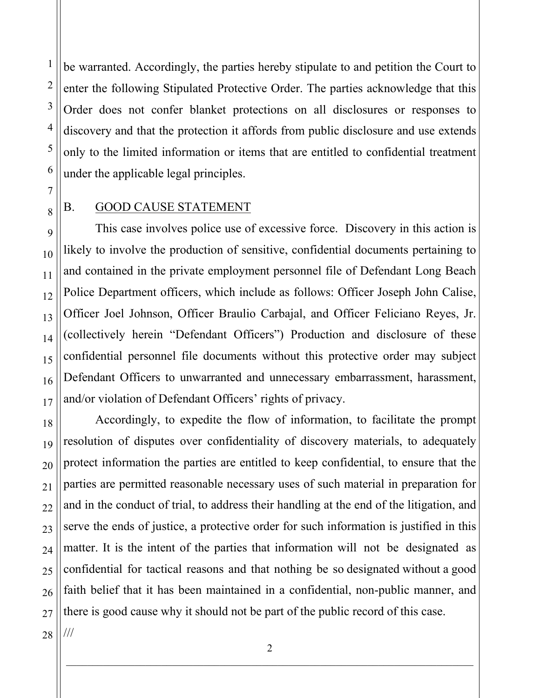be warranted. Accordingly, the parties hereby stipulate to and petition the Court to enter the following Stipulated Protective Order. The parties acknowledge that this Order does not confer blanket protections on all disclosures or responses to discovery and that the protection it affords from public disclosure and use extends only to the limited information or items that are entitled to confidential treatment under the applicable legal principles.

8 9

10

11

12

13

14

15

16

17

18

19

20

21

22

23

24

25

26

27

1

2

3

4

5

6

7

## B. GOOD CAUSE STATEMENT

This case involves police use of excessive force. Discovery in this action is likely to involve the production of sensitive, confidential documents pertaining to and contained in the private employment personnel file of Defendant Long Beach Police Department officers, which include as follows: Officer Joseph John Calise, Officer Joel Johnson, Officer Braulio Carbajal, and Officer Feliciano Reyes, Jr. (collectively herein "Defendant Officers") Production and disclosure of these confidential personnel file documents without this protective order may subject Defendant Officers to unwarranted and unnecessary embarrassment, harassment, and/or violation of Defendant Officers' rights of privacy.

Accordingly, to expedite the flow of information, to facilitate the prompt resolution of disputes over confidentiality of discovery materials, to adequately protect information the parties are entitled to keep confidential, to ensure that the parties are permitted reasonable necessary uses of such material in preparation for and in the conduct of trial, to address their handling at the end of the litigation, and serve the ends of justice, a protective order for such information is justified in this matter. It is the intent of the parties that information will not be designated as confidential for tactical reasons and that nothing be so designated without a good faith belief that it has been maintained in a confidential, non-public manner, and there is good cause why it should not be part of the public record of this case.

28

///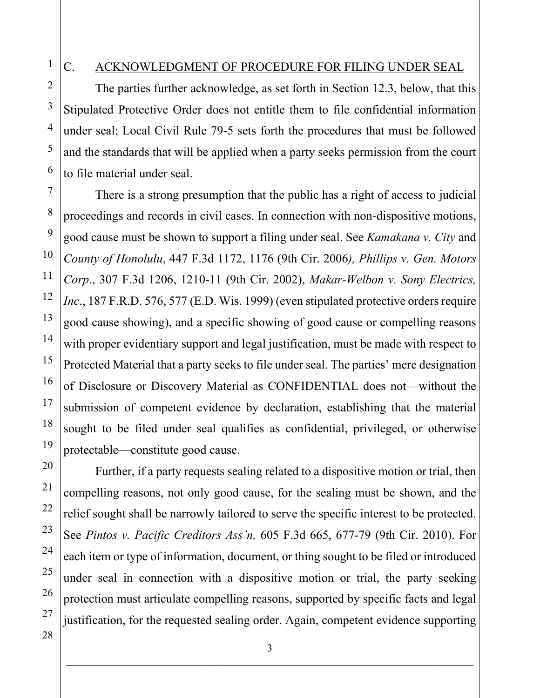1 2

3

4

5

6

7

8

9

10

11

12

13

14

15

16

17

18

19

20

21

22

23

24

25

26

## C. ACKNOWLEDGMENT OF PROCEDURE FOR FILING UNDER SEAL

The parties further acknowledge, as set forth in Section 12.3, below, that this Stipulated Protective Order does not entitle them to file confidential information under seal; Local Civil Rule 79-5 sets forth the procedures that must be followed and the standards that will be applied when a party seeks permission from the court to file material under seal.

There is a strong presumption that the public has a right of access to judicial proceedings and records in civil cases. In connection with non-dispositive motions, good cause must be shown to support a filing under seal. See *Kamakana v. City* and *County of Honolulu*, 447 F.3d 1172, 1176 (9th Cir. 2006*), Phillips v. Gen. Motors Corp*., 307 F.3d 1206, 1210-11 (9th Cir. 2002), *Makar-Welbon v. Sony Electrics, Inc.*, 187 F.R.D. 576, 577 (E.D. Wis. 1999) (even stipulated protective orders require good cause showing), and a specific showing of good cause or compelling reasons with proper evidentiary support and legal justification, must be made with respect to Protected Material that a party seeks to file under seal. The parties' mere designation of Disclosure or Discovery Material as CONFIDENTIAL does not—without the submission of competent evidence by declaration, establishing that the material sought to be filed under seal qualifies as confidential, privileged, or otherwise protectable—constitute good cause.

Further, if a party requests sealing related to a dispositive motion or trial, then compelling reasons, not only good cause, for the sealing must be shown, and the relief sought shall be narrowly tailored to serve the specific interest to be protected. See *Pintos v. Pacific Creditors Ass'n,* 605 F.3d 665, 677-79 (9th Cir. 2010). For each item or type of information, document, or thing sought to be filed or introduced under seal in connection with a dispositive motion or trial, the party seeking protection must articulate compelling reasons, supported by specific facts and legal justification, for the requested sealing order. Again, competent evidence supporting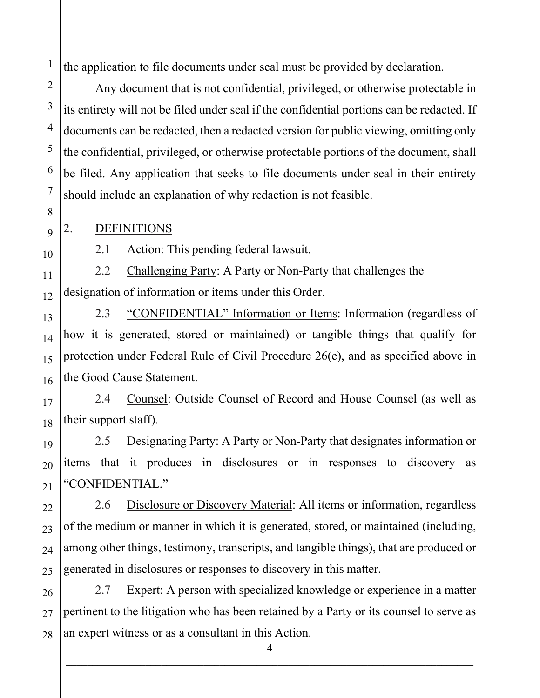1 the application to file documents under seal must be provided by declaration.

Any document that is not confidential, privileged, or otherwise protectable in its entirety will not be filed under seal if the confidential portions can be redacted. If documents can be redacted, then a redacted version for public viewing, omitting only the confidential, privileged, or otherwise protectable portions of the document, shall be filed. Any application that seeks to file documents under seal in their entirety should include an explanation of why redaction is not feasible.

## 2. DEFINITIONS

2.1 Action: This pending federal lawsuit.

2.2 Challenging Party: A Party or Non-Party that challenges the designation of information or items under this Order.

2.3 "CONFIDENTIAL" Information or Items: Information (regardless of how it is generated, stored or maintained) or tangible things that qualify for protection under Federal Rule of Civil Procedure 26(c), and as specified above in the Good Cause Statement.

2.4 Counsel: Outside Counsel of Record and House Counsel (as well as their support staff).

2.5 Designating Party: A Party or Non-Party that designates information or items that it produces in disclosures or in responses to discovery as "CONFIDENTIAL."

2.6 Disclosure or Discovery Material: All items or information, regardless of the medium or manner in which it is generated, stored, or maintained (including, among other things, testimony, transcripts, and tangible things), that are produced or generated in disclosures or responses to discovery in this matter.

2.7 Expert: A person with specialized knowledge or experience in a matter pertinent to the litigation who has been retained by a Party or its counsel to serve as an expert witness or as a consultant in this Action.

2

4 \_\_\_\_\_\_\_\_\_\_\_\_\_\_\_\_\_\_\_\_\_\_\_\_\_\_\_\_\_\_\_\_\_\_\_\_\_\_\_\_\_\_\_\_\_\_\_\_\_\_\_\_\_\_\_\_\_\_\_\_\_\_\_\_\_\_\_\_\_\_\_\_\_\_\_\_\_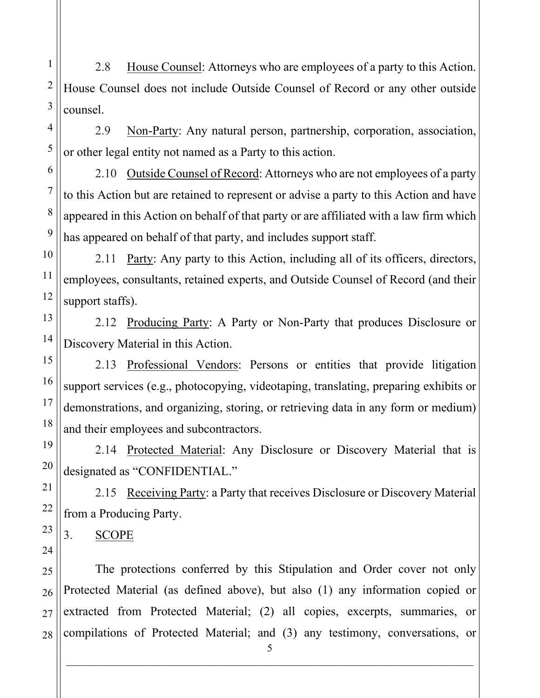1 3 2.8 House Counsel: Attorneys who are employees of a party to this Action. House Counsel does not include Outside Counsel of Record or any other outside counsel.

2.9 Non-Party: Any natural person, partnership, corporation, association, or other legal entity not named as a Party to this action.

2.10 Outside Counsel of Record: Attorneys who are not employees of a party to this Action but are retained to represent or advise a party to this Action and have appeared in this Action on behalf of that party or are affiliated with a law firm which has appeared on behalf of that party, and includes support staff.

2.11 Party: Any party to this Action, including all of its officers, directors, employees, consultants, retained experts, and Outside Counsel of Record (and their support staffs).

2.12 Producing Party: A Party or Non-Party that produces Disclosure or Discovery Material in this Action.

2.13 Professional Vendors: Persons or entities that provide litigation support services (e.g., photocopying, videotaping, translating, preparing exhibits or demonstrations, and organizing, storing, or retrieving data in any form or medium) and their employees and subcontractors.

2.14 Protected Material: Any Disclosure or Discovery Material that is designated as "CONFIDENTIAL."

2.15 Receiving Party: a Party that receives Disclosure or Discovery Material from a Producing Party.

3. SCOPE

The protections conferred by this Stipulation and Order cover not only Protected Material (as defined above), but also (1) any information copied or extracted from Protected Material; (2) all copies, excerpts, summaries, or compilations of Protected Material; and (3) any testimony, conversations, or

2

4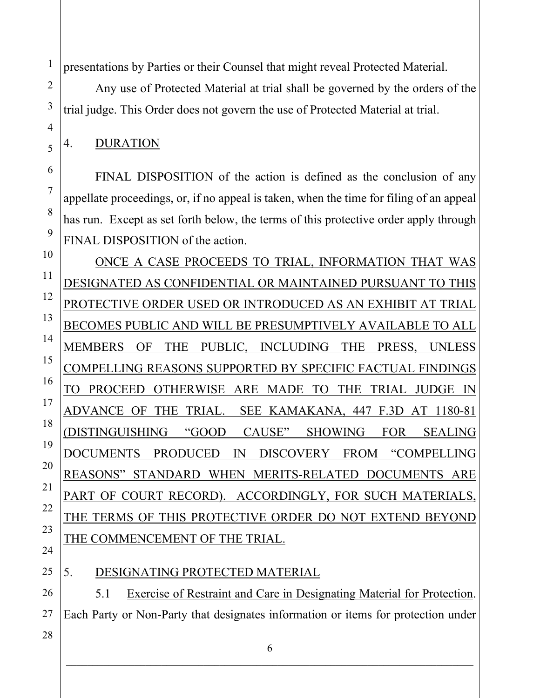presentations by Parties or their Counsel that might reveal Protected Material.

Any use of Protected Material at trial shall be governed by the orders of the trial judge. This Order does not govern the use of Protected Material at trial.

4. DURATION

1

2

3

4

5

6

7

8

9

10

11

12

13

14

15

16

17

18

19

20

21

22

23

FINAL DISPOSITION of the action is defined as the conclusion of any appellate proceedings, or, if no appeal is taken, when the time for filing of an appeal has run. Except as set forth below, the terms of this protective order apply through FINAL DISPOSITION of the action.

ONCE A CASE PROCEEDS TO TRIAL, INFORMATION THAT WAS DESIGNATED AS CONFIDENTIAL OR MAINTAINED PURSUANT TO THIS PROTECTIVE ORDER USED OR INTRODUCED AS AN EXHIBIT AT TRIAL BECOMES PUBLIC AND WILL BE PRESUMPTIVELY AVAILABLE TO ALL MEMBERS OF THE PUBLIC, INCLUDING THE PRESS, UNLESS COMPELLING REASONS SUPPORTED BY SPECIFIC FACTUAL FINDINGS TO PROCEED OTHERWISE ARE MADE TO THE TRIAL JUDGE IN ADVANCE OF THE TRIAL. SEE KAMAKANA, 447 F.3D AT 1180-81 (DISTINGUISHING "GOOD CAUSE" SHOWING FOR SEALING DOCUMENTS PRODUCED IN DISCOVERY FROM "COMPELLING REASONS" STANDARD WHEN MERITS-RELATED DOCUMENTS ARE PART OF COURT RECORD). ACCORDINGLY, FOR SUCH MATERIALS, THE TERMS OF THIS PROTECTIVE ORDER DO NOT EXTEND BEYOND THE COMMENCEMENT OF THE TRIAL.

24 25

26

5. DESIGNATING PROTECTED MATERIAL

5.1 Exercise of Restraint and Care in Designating Material for Protection. Each Party or Non-Party that designates information or items for protection under

6 \_\_\_\_\_\_\_\_\_\_\_\_\_\_\_\_\_\_\_\_\_\_\_\_\_\_\_\_\_\_\_\_\_\_\_\_\_\_\_\_\_\_\_\_\_\_\_\_\_\_\_\_\_\_\_\_\_\_\_\_\_\_\_\_\_\_\_\_\_\_\_\_\_\_\_\_\_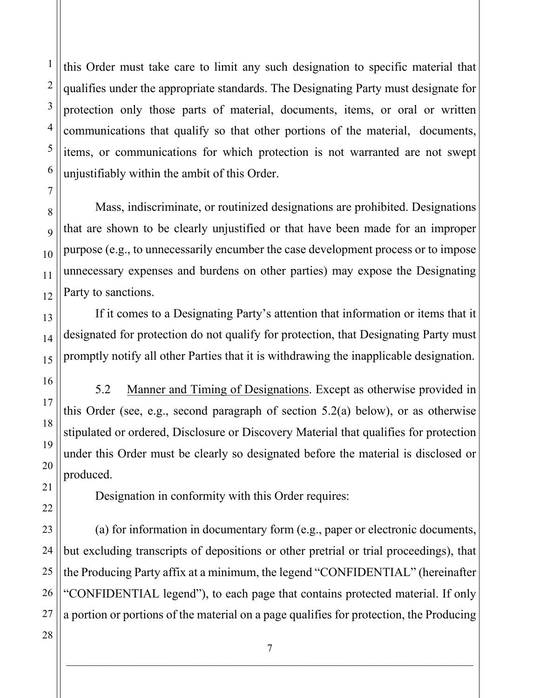1 2 3 4 5 6 7 8 9 10 11 12 this Order must take care to limit any such designation to specific material that qualifies under the appropriate standards. The Designating Party must designate for protection only those parts of material, documents, items, or oral or written communications that qualify so that other portions of the material, documents, items, or communications for which protection is not warranted are not swept unjustifiably within the ambit of this Order. Mass, indiscriminate, or routinized designations are prohibited. Designations that are shown to be clearly unjustified or that have been made for an improper purpose (e.g., to unnecessarily encumber the case development process or to impose unnecessary expenses and burdens on other parties) may expose the Designating Party to sanctions.

If it comes to a Designating Party's attention that information or items that it designated for protection do not qualify for protection, that Designating Party must promptly notify all other Parties that it is withdrawing the inapplicable designation.

5.2 Manner and Timing of Designations. Except as otherwise provided in this Order (see, e.g., second paragraph of section 5.2(a) below), or as otherwise stipulated or ordered, Disclosure or Discovery Material that qualifies for protection under this Order must be clearly so designated before the material is disclosed or produced.

Designation in conformity with this Order requires:

(a) for information in documentary form (e.g., paper or electronic documents, but excluding transcripts of depositions or other pretrial or trial proceedings), that the Producing Party affix at a minimum, the legend "CONFIDENTIAL" (hereinafter "CONFIDENTIAL legend"), to each page that contains protected material. If only a portion or portions of the material on a page qualifies for protection, the Producing

13

14

15

16

17

18

19

20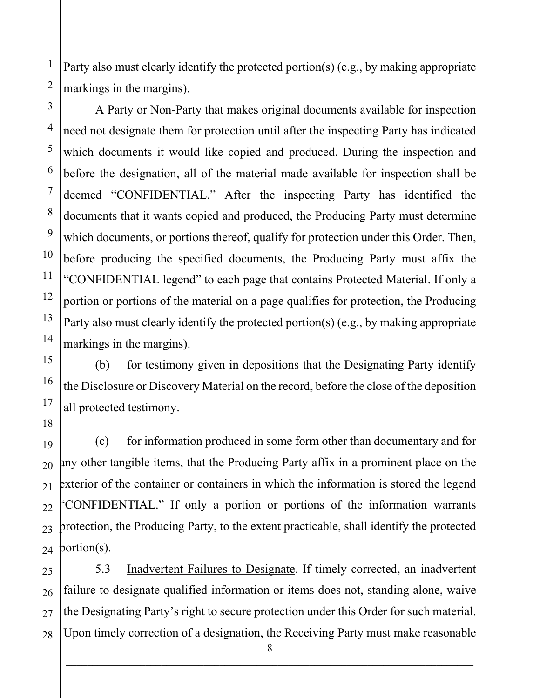Party also must clearly identify the protected portion(s) (e.g., by making appropriate markings in the margins).

A Party or Non-Party that makes original documents available for inspection need not designate them for protection until after the inspecting Party has indicated which documents it would like copied and produced. During the inspection and before the designation, all of the material made available for inspection shall be deemed "CONFIDENTIAL." After the inspecting Party has identified the documents that it wants copied and produced, the Producing Party must determine which documents, or portions thereof, qualify for protection under this Order. Then, before producing the specified documents, the Producing Party must affix the "CONFIDENTIAL legend" to each page that contains Protected Material. If only a portion or portions of the material on a page qualifies for protection, the Producing Party also must clearly identify the protected portion(s) (e.g., by making appropriate markings in the margins).

(b) for testimony given in depositions that the Designating Party identify the Disclosure or Discovery Material on the record, before the close of the deposition all protected testimony.

(c) for information produced in some form other than documentary and for any other tangible items, that the Producing Party affix in a prominent place on the exterior of the container or containers in which the information is stored the legend "CONFIDENTIAL." If only a portion or portions of the information warrants protection, the Producing Party, to the extent practicable, shall identify the protected  $portion(s)$ .

5.3 Inadvertent Failures to Designate. If timely corrected, an inadvertent failure to designate qualified information or items does not, standing alone, waive the Designating Party's right to secure protection under this Order for such material. Upon timely correction of a designation, the Receiving Party must make reasonable

8 \_\_\_\_\_\_\_\_\_\_\_\_\_\_\_\_\_\_\_\_\_\_\_\_\_\_\_\_\_\_\_\_\_\_\_\_\_\_\_\_\_\_\_\_\_\_\_\_\_\_\_\_\_\_\_\_\_\_\_\_\_\_\_\_\_\_\_\_\_\_\_\_\_\_\_\_\_

1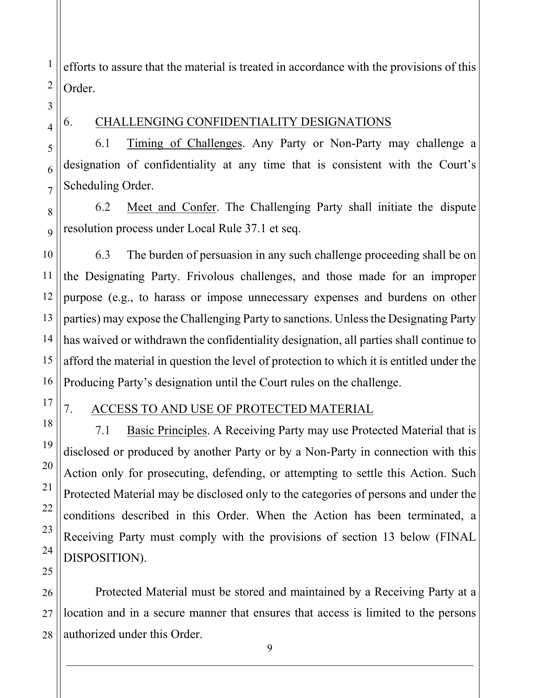efforts to assure that the material is treated in accordance with the provisions of this Order.

3 4 5

6

7

8

9

1

2

## 6. CHALLENGING CONFIDENTIALITY DESIGNATIONS

6.1 Timing of Challenges. Any Party or Non-Party may challenge a designation of confidentiality at any time that is consistent with the Court's Scheduling Order.

6.2 Meet and Confer. The Challenging Party shall initiate the dispute resolution process under Local Rule 37.1 et seq.

6.3 The burden of persuasion in any such challenge proceeding shall be on the Designating Party. Frivolous challenges, and those made for an improper purpose (e.g., to harass or impose unnecessary expenses and burdens on other parties) may expose the Challenging Party to sanctions. Unless the Designating Party has waived or withdrawn the confidentiality designation, all parties shall continue to afford the material in question the level of protection to which it is entitled under the Producing Party's designation until the Court rules on the challenge.

## 7. ACCESS TO AND USE OF PROTECTED MATERIAL

7.1 Basic Principles. A Receiving Party may use Protected Material that is disclosed or produced by another Party or by a Non-Party in connection with this Action only for prosecuting, defending, or attempting to settle this Action. Such Protected Material may be disclosed only to the categories of persons and under the conditions described in this Order. When the Action has been terminated, a Receiving Party must comply with the provisions of section 13 below (FINAL DISPOSITION).

Protected Material must be stored and maintained by a Receiving Party at a location and in a secure manner that ensures that access is limited to the persons authorized under this Order.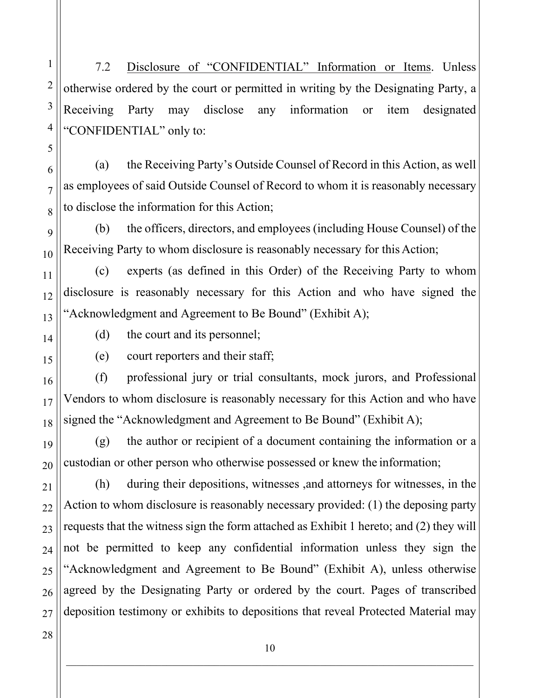7.2 Disclosure of "CONFIDENTIAL" Information or Items. Unless otherwise ordered by the court or permitted in writing by the Designating Party, a Receiving Party may disclose any information or item designated "CONFIDENTIAL" only to:

(a) the Receiving Party's Outside Counsel of Record in this Action, as well as employees of said Outside Counsel of Record to whom it is reasonably necessary to disclose the information for this Action;

(b) the officers, directors, and employees (including House Counsel) of the Receiving Party to whom disclosure is reasonably necessary for this Action;

(c) experts (as defined in this Order) of the Receiving Party to whom disclosure is reasonably necessary for this Action and who have signed the "Acknowledgment and Agreement to Be Bound" (Exhibit A);

- - (d) the court and its personnel;

(e) court reporters and their staff;

(f) professional jury or trial consultants, mock jurors, and Professional Vendors to whom disclosure is reasonably necessary for this Action and who have signed the "Acknowledgment and Agreement to Be Bound" (Exhibit A);

19 20 (g) the author or recipient of a document containing the information or a custodian or other person who otherwise possessed or knew the information;

(h) during their depositions, witnesses ,and attorneys for witnesses, in the Action to whom disclosure is reasonably necessary provided: (1) the deposing party requests that the witness sign the form attached as Exhibit 1 hereto; and (2) they will not be permitted to keep any confidential information unless they sign the "Acknowledgment and Agreement to Be Bound" (Exhibit A), unless otherwise agreed by the Designating Party or ordered by the court. Pages of transcribed deposition testimony or exhibits to depositions that reveal Protected Material may

1

2

3

4

5

6

7

8

9

10

11

12

13

14

15

16

17

18

21

22

23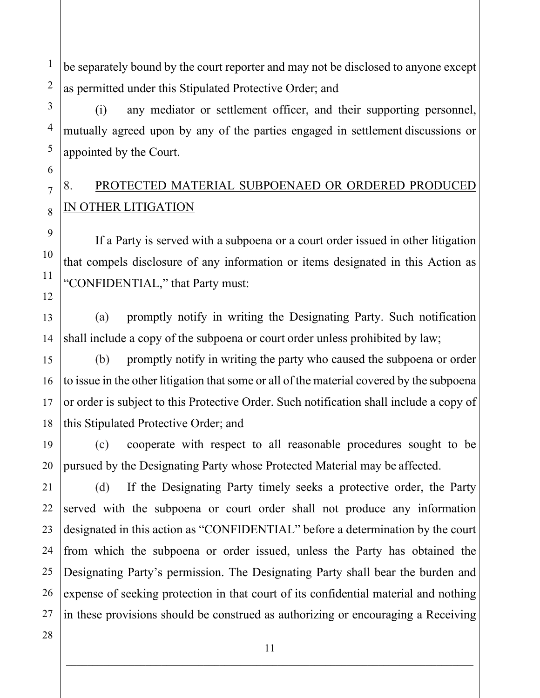be separately bound by the court reporter and may not be disclosed to anyone except as permitted under this Stipulated Protective Order; and

(i) any mediator or settlement officer, and their supporting personnel, mutually agreed upon by any of the parties engaged in settlement discussions or appointed by the Court.

## 8. PROTECTED MATERIAL SUBPOENAED OR ORDERED PRODUCED IN OTHER LITIGATION

If a Party is served with a subpoena or a court order issued in other litigation that compels disclosure of any information or items designated in this Action as "CONFIDENTIAL," that Party must:

13 14 (a) promptly notify in writing the Designating Party. Such notification shall include a copy of the subpoena or court order unless prohibited by law;

15 16 17 18 (b) promptly notify in writing the party who caused the subpoena or order to issue in the other litigation that some or all of the material covered by the subpoena or order is subject to this Protective Order. Such notification shall include a copy of this Stipulated Protective Order; and

19 20 (c) cooperate with respect to all reasonable procedures sought to be pursued by the Designating Party whose Protected Material may be affected.

22 23 (d) If the Designating Party timely seeks a protective order, the Party served with the subpoena or court order shall not produce any information designated in this action as "CONFIDENTIAL" before a determination by the court from which the subpoena or order issued, unless the Party has obtained the Designating Party's permission. The Designating Party shall bear the burden and expense of seeking protection in that court of its confidential material and nothing in these provisions should be construed as authorizing or encouraging a Receiving

1

2

3

4

5

6

7

8

9

10

11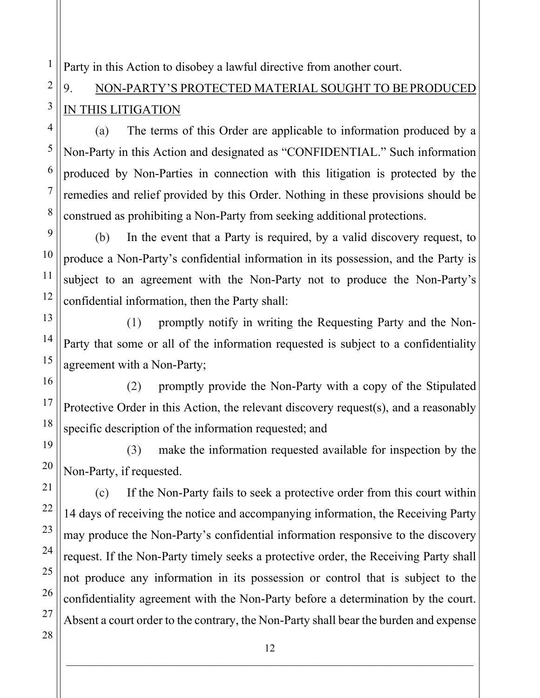Party in this Action to disobey a lawful directive from another court.

# 9. NON-PARTY'S PROTECTED MATERIAL SOUGHT TO BEPRODUCED IN THIS LITIGATION

(a) The terms of this Order are applicable to information produced by a Non-Party in this Action and designated as "CONFIDENTIAL." Such information produced by Non-Parties in connection with this litigation is protected by the remedies and relief provided by this Order. Nothing in these provisions should be construed as prohibiting a Non-Party from seeking additional protections.

(b) In the event that a Party is required, by a valid discovery request, to produce a Non-Party's confidential information in its possession, and the Party is subject to an agreement with the Non-Party not to produce the Non-Party's confidential information, then the Party shall:

(1) promptly notify in writing the Requesting Party and the Non-Party that some or all of the information requested is subject to a confidentiality agreement with a Non-Party;

(2) promptly provide the Non-Party with a copy of the Stipulated Protective Order in this Action, the relevant discovery request(s), and a reasonably specific description of the information requested; and

(3) make the information requested available for inspection by the Non-Party, if requested.

(c) If the Non-Party fails to seek a protective order from this court within 14 days of receiving the notice and accompanying information, the Receiving Party may produce the Non-Party's confidential information responsive to the discovery request. If the Non-Party timely seeks a protective order, the Receiving Party shall not produce any information in its possession or control that is subject to the confidentiality agreement with the Non-Party before a determination by the court. Absent a court order to the contrary, the Non-Party shall bear the burden and expense

1

2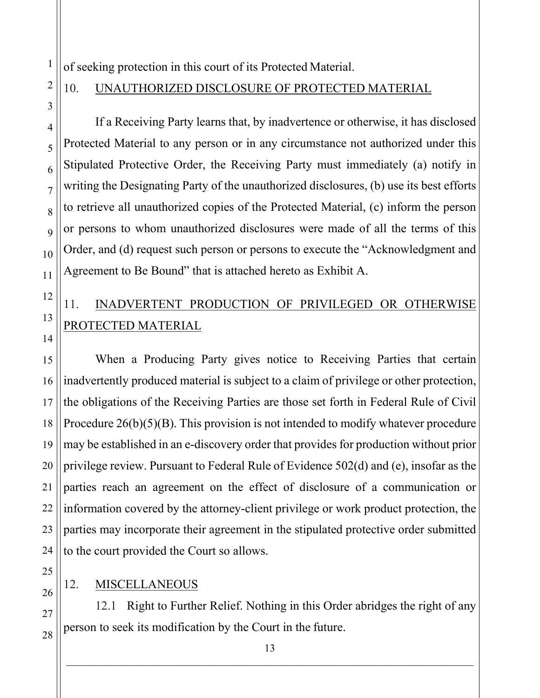of seeking protection in this court of its Protected Material.

10. UNAUTHORIZED DISCLOSURE OF PROTECTED MATERIAL

If a Receiving Party learns that, by inadvertence or otherwise, it has disclosed Protected Material to any person or in any circumstance not authorized under this Stipulated Protective Order, the Receiving Party must immediately (a) notify in writing the Designating Party of the unauthorized disclosures, (b) use its best efforts to retrieve all unauthorized copies of the Protected Material, (c) inform the person or persons to whom unauthorized disclosures were made of all the terms of this Order, and (d) request such person or persons to execute the "Acknowledgment and Agreement to Be Bound" that is attached hereto as Exhibit A.

# 11. INADVERTENT PRODUCTION OF PRIVILEGED OR OTHERWISE PROTECTED MATERIAL

When a Producing Party gives notice to Receiving Parties that certain inadvertently produced material is subject to a claim of privilege or other protection, the obligations of the Receiving Parties are those set forth in Federal Rule of Civil Procedure 26(b)(5)(B). This provision is not intended to modify whatever procedure may be established in an e-discovery order that provides for production without prior privilege review. Pursuant to Federal Rule of Evidence 502(d) and (e), insofar as the parties reach an agreement on the effect of disclosure of a communication or information covered by the attorney-client privilege or work product protection, the parties may incorporate their agreement in the stipulated protective order submitted to the court provided the Court so allows.

## 12. MISCELLANEOUS

12.1 Right to Further Relief. Nothing in this Order abridges the right of any person to seek its modification by the Court in the future.

1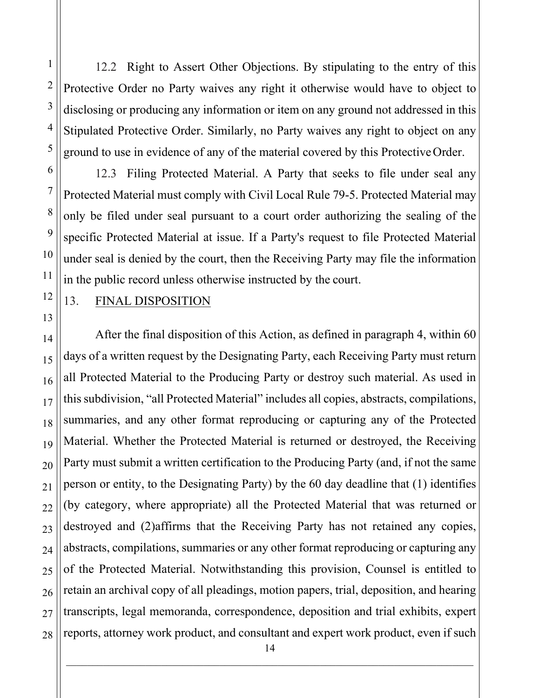12.2 Right to Assert Other Objections. By stipulating to the entry of this Protective Order no Party waives any right it otherwise would have to object to disclosing or producing any information or item on any ground not addressed in this Stipulated Protective Order. Similarly, no Party waives any right to object on any ground to use in evidence of any of the material covered by this ProtectiveOrder.

12.3 Filing Protected Material. A Party that seeks to file under seal any Protected Material must comply with Civil Local Rule 79-5. Protected Material may only be filed under seal pursuant to a court order authorizing the sealing of the specific Protected Material at issue. If a Party's request to file Protected Material under seal is denied by the court, then the Receiving Party may file the information in the public record unless otherwise instructed by the court.

## 13. FINAL DISPOSITION

After the final disposition of this Action, as defined in paragraph 4, within 60 days of a written request by the Designating Party, each Receiving Party must return all Protected Material to the Producing Party or destroy such material. As used in this subdivision, "all Protected Material" includes all copies, abstracts, compilations, summaries, and any other format reproducing or capturing any of the Protected Material. Whether the Protected Material is returned or destroyed, the Receiving Party must submit a written certification to the Producing Party (and, if not the same person or entity, to the Designating Party) by the 60 day deadline that (1) identifies (by category, where appropriate) all the Protected Material that was returned or destroyed and (2)affirms that the Receiving Party has not retained any copies, abstracts, compilations, summaries or any other format reproducing or capturing any of the Protected Material. Notwithstanding this provision, Counsel is entitled to retain an archival copy of all pleadings, motion papers, trial, deposition, and hearing transcripts, legal memoranda, correspondence, deposition and trial exhibits, expert reports, attorney work product, and consultant and expert work product, even if such

14 \_\_\_\_\_\_\_\_\_\_\_\_\_\_\_\_\_\_\_\_\_\_\_\_\_\_\_\_\_\_\_\_\_\_\_\_\_\_\_\_\_\_\_\_\_\_\_\_\_\_\_\_\_\_\_\_\_\_\_\_\_\_\_\_\_\_\_\_\_\_\_\_\_\_\_\_\_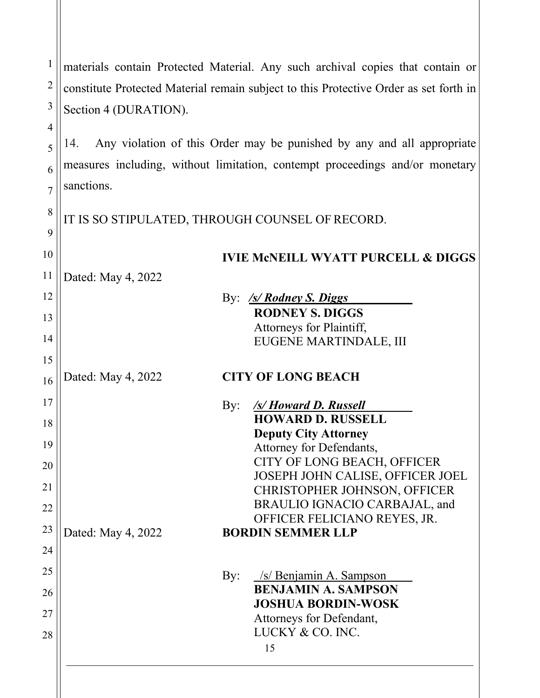| $\mathbf{1}$   | materials contain Protected Material. Any such archival copies that contain or        |
|----------------|---------------------------------------------------------------------------------------|
| $\overline{2}$ | constitute Protected Material remain subject to this Protective Order as set forth in |
| 3              | Section 4 (DURATION).                                                                 |
| $\overline{4}$ |                                                                                       |
| 5              | Any violation of this Order may be punished by any and all appropriate<br>14.         |
| 6              | measures including, without limitation, contempt proceedings and/or monetary          |
| $\overline{7}$ | sanctions.                                                                            |
| 8              | IT IS SO STIPULATED, THROUGH COUNSEL OF RECORD.                                       |
| 9              |                                                                                       |
| 10             | <b>IVIE MCNEILL WYATT PURCELL &amp; DIGGS</b>                                         |
| 11             | Dated: May 4, 2022                                                                    |
| 12             | By: <u>/s/ Rodney S. Diggs</u>                                                        |
| 13             | <b>RODNEY S. DIGGS</b>                                                                |
| 14             | Attorneys for Plaintiff,<br>EUGENE MARTINDALE, III                                    |
| 15             |                                                                                       |
| 16             | Dated: May 4, 2022<br><b>CITY OF LONG BEACH</b>                                       |
| 17             | /s/ Howard D. Russell<br>By:                                                          |
| 18             | <b>HOWARD D. RUSSELL</b>                                                              |
| 19             | <b>Deputy City Attorney</b><br>Attorney for Defendants,                               |
| 20             | CITY OF LONG BEACH, OFFICER                                                           |
| 21             | JOSEPH JOHN CALISE, OFFICER JOEL<br>CHRISTOPHER JOHNSON, OFFICER                      |
| 22             | BRAULIO IGNACIO CARBAJAL, and                                                         |
| 23             | OFFICER FELICIANO REYES, JR.                                                          |
| 24             | Dated: May 4, 2022<br><b>BORDIN SEMMER LLP</b>                                        |
| 25             |                                                                                       |
| 26             | By:<br>/s/ Benjamin A. Sampson<br><b>BENJAMIN A. SAMPSON</b>                          |
| 27             | <b>JOSHUA BORDIN-WOSK</b>                                                             |
| 28             | Attorneys for Defendant,<br>LUCKY & CO. INC.                                          |
|                | 15                                                                                    |
|                |                                                                                       |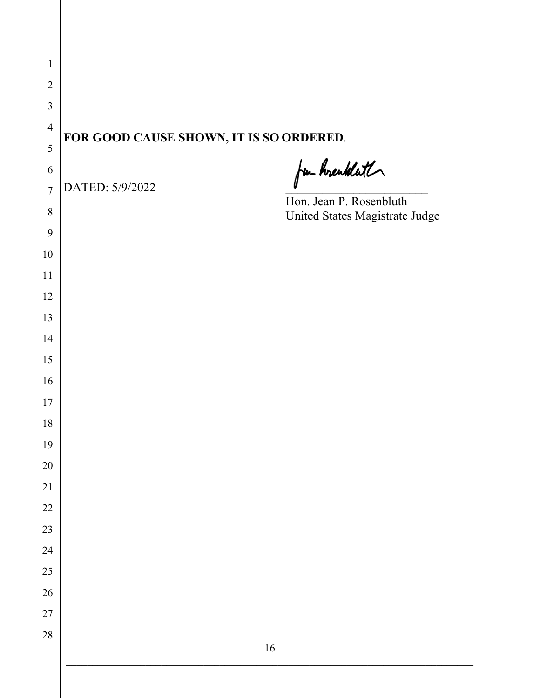| $\mathbf{1}$        |                                         |
|---------------------|-----------------------------------------|
| $\overline{2}$      |                                         |
| 3                   |                                         |
| $\overline{4}$      | FOR GOOD CAUSE SHOWN, IT IS SO ORDERED. |
| 5                   |                                         |
| 6<br>$\overline{7}$ | for hrenklath<br>DATED: 5/9/2022        |
| 8                   | Hon. Jean P. Rosenbluth                 |
| 9                   | United States Magistrate Judge          |
| 10                  |                                         |
| 11                  |                                         |
| 12                  |                                         |
| 13                  |                                         |
| 14                  |                                         |
| 15                  |                                         |
| 16                  |                                         |
| 17                  |                                         |
| 18                  |                                         |
| 19                  |                                         |
| $\overline{20}$     |                                         |
| $\overline{21}$     |                                         |
| 22                  |                                         |
| 23                  |                                         |
| 24                  |                                         |
| 25                  |                                         |
| 26                  |                                         |
| 27                  |                                         |
| 28                  | $16\,$                                  |
|                     |                                         |